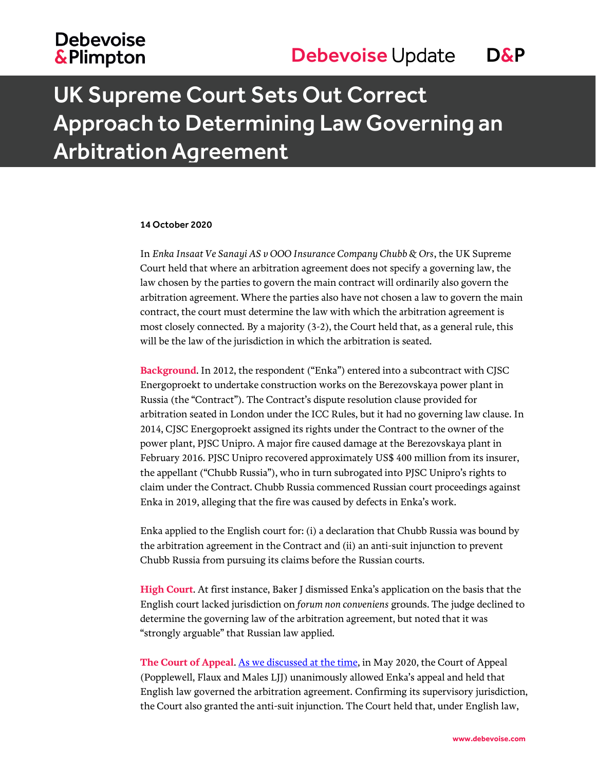## **Debevoise &Plimpton**

# UK Supreme Court Sets Out Correct Approach to Determining Law Governing an Arbitration Agreement

#### 14 October 2020

In *Enka Insaat Ve Sanayi AS v OOO Insurance Company Chubb & Ors*, the UK Supreme Court held that where an arbitration agreement does not specify a governing law, the law chosen by the parties to govern the main contract will ordinarily also govern the arbitration agreement. Where the parties also have not chosen a law to govern the main contract, the court must determine the law with which the arbitration agreement is most closely connected. By a majority (3-2), the Court held that, as a general rule, this will be the law of the jurisdiction in which the arbitration is seated.

**Background**. In 2012, the respondent ("Enka") entered into a subcontract with CJSC Energoproekt to undertake construction works on the Berezovskaya power plant in Russia (the "Contract"). The Contract's dispute resolution clause provided for arbitration seated in London under the ICC Rules, but it had no governing law clause. In 2014, CJSC Energoproekt assigned its rights under the Contract to the owner of the power plant, PJSC Unipro. A major fire caused damage at the Berezovskaya plant in February 2016. PJSC Unipro recovered approximately US\$ 400 million from its insurer, the appellant ("Chubb Russia"), who in turn subrogated into PJSC Unipro's rights to claim under the Contract. Chubb Russia commenced Russian court proceedings against Enka in 2019, alleging that the fire was caused by defects in Enka's work.

Enka applied to the English court for: (i) a declaration that Chubb Russia was bound by the arbitration agreement in the Contract and (ii) an anti-suit injunction to prevent Chubb Russia from pursuing its claims before the Russian courts.

**High Court**. At first instance, Baker J dismissed Enka's application on the basis that the English court lacked jurisdiction on *forum non conveniens* grounds. The judge declined to determine the governing law of the arbitration agreement, but noted that it was "strongly arguable" that Russian law applied.

**The Court of Appeal**. [As we discussed](https://www.debevoise.com/insights/publications/2020/05/english-court-clarifies-law-of-arbitration) at the time, in May 2020, the Court of Appeal (Popplewell, Flaux and Males LJJ) unanimously allowed Enka's appeal and held that English law governed the arbitration agreement. Confirming its supervisory jurisdiction, the Court also granted the anti-suit injunction. The Court held that, under English law,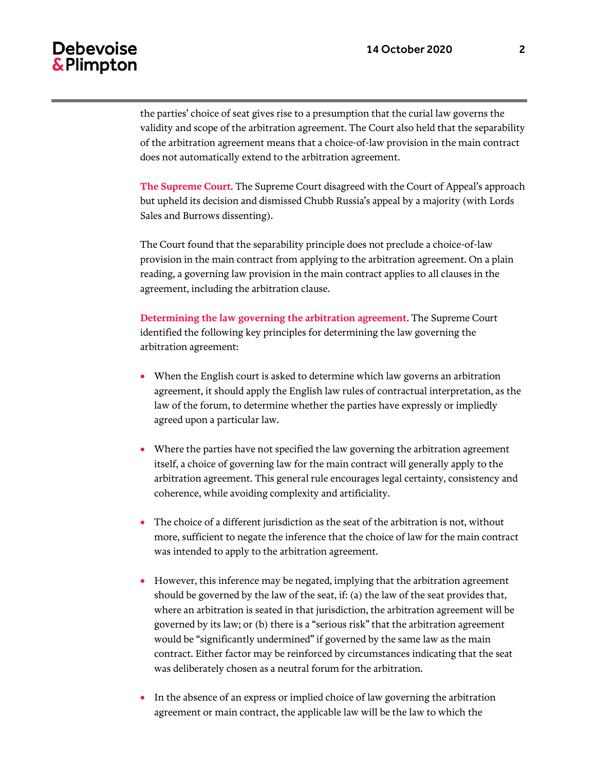#### Debevoise & Plimpton

the parties' choice of seat gives rise to a presumption that the curial law governs the validity and scope of the arbitration agreement. The Court also held that the separability of the arbitration agreement means that a choice-of-law provision in the main contract does not automatically extend to the arbitration agreement.

**The Supreme Court**. The Supreme Court disagreed with the Court of Appeal's approach but upheld its decision and dismissed Chubb Russia's appeal by a majority (with Lords Sales and Burrows dissenting).

The Court found that the separability principle does not preclude a choice-of-law provision in the main contract from applying to the arbitration agreement. On a plain reading, a governing law provision in the main contract applies to all clauses in the agreement, including the arbitration clause.

**Determining the law governing the arbitration agreement**. The Supreme Court identified the following key principles for determining the law governing the arbitration agreement:

- When the English court is asked to determine which law governs an arbitration agreement, it should apply the English law rules of contractual interpretation, as the law of the forum, to determine whether the parties have expressly or impliedly agreed upon a particular law.
- Where the parties have not specified the law governing the arbitration agreement itself, a choice of governing law for the main contract will generally apply to the arbitration agreement. This general rule encourages legal certainty, consistency and coherence, while avoiding complexity and artificiality.
- The choice of a different jurisdiction as the seat of the arbitration is not, without more, sufficient to negate the inference that the choice of law for the main contract was intended to apply to the arbitration agreement.
- However, this inference may be negated, implying that the arbitration agreement should be governed by the law of the seat, if: (a) the law of the seat provides that, where an arbitration is seated in that jurisdiction, the arbitration agreement will be governed by its law; or (b) there is a "serious risk" that the arbitration agreement would be "significantly undermined" if governed by the same law as the main contract. Either factor may be reinforced by circumstances indicating that the seat was deliberately chosen as a neutral forum for the arbitration.
- In the absence of an express or implied choice of law governing the arbitration agreement or main contract, the applicable law will be the law to which the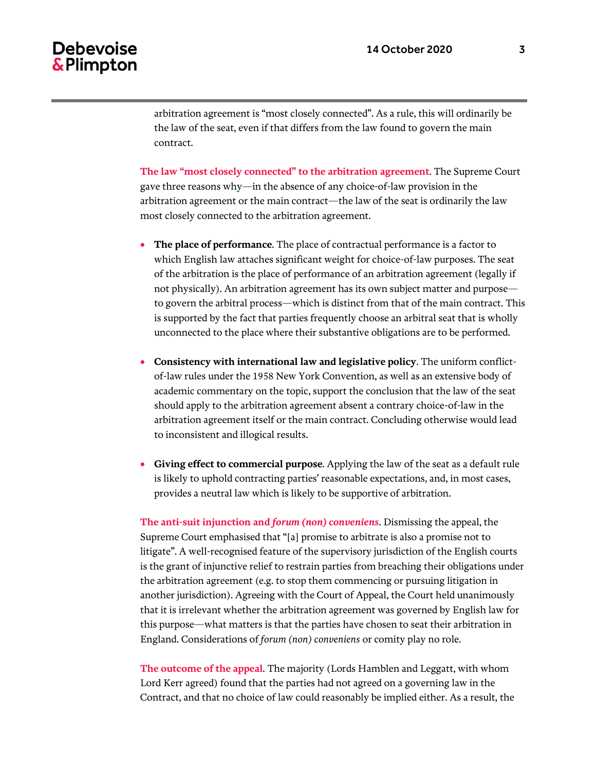arbitration agreement is "most closely connected". As a rule, this will ordinarily be the law of the seat, even if that differs from the law found to govern the main contract.

**The law "most closely connected" to the arbitration agreement**. The Supreme Court gave three reasons why—in the absence of any choice-of-law provision in the arbitration agreement or the main contract—the law of the seat is ordinarily the law most closely connected to the arbitration agreement.

- **The place of performance**. The place of contractual performance is a factor to which English law attaches significant weight for choice-of-law purposes. The seat of the arbitration is the place of performance of an arbitration agreement (legally if not physically). An arbitration agreement has its own subject matter and purpose to govern the arbitral process—which is distinct from that of the main contract. This is supported by the fact that parties frequently choose an arbitral seat that is wholly unconnected to the place where their substantive obligations are to be performed.
- **Consistency with international law and legislative policy**. The uniform conflictof-law rules under the 1958 New York Convention, as well as an extensive body of academic commentary on the topic, support the conclusion that the law of the seat should apply to the arbitration agreement absent a contrary choice-of-law in the arbitration agreement itself or the main contract. Concluding otherwise would lead to inconsistent and illogical results.
- **Giving effect to commercial purpose**. Applying the law of the seat as a default rule is likely to uphold contracting parties' reasonable expectations, and, in most cases, provides a neutral law which is likely to be supportive of arbitration.

**The anti-suit injunction and** *forum (non) conveniens*. Dismissing the appeal, the Supreme Court emphasised that "[a] promise to arbitrate is also a promise not to litigate". A well-recognised feature of the supervisory jurisdiction of the English courts is the grant of injunctive relief to restrain parties from breaching their obligations under the arbitration agreement (e.g. to stop them commencing or pursuing litigation in another jurisdiction). Agreeing with the Court of Appeal, the Court held unanimously that it is irrelevant whether the arbitration agreement was governed by English law for this purpose—what matters is that the parties have chosen to seat their arbitration in England. Considerations of *forum (non) conveniens* or comity play no role.

**The outcome of the appeal**. The majority (Lords Hamblen and Leggatt, with whom Lord Kerr agreed) found that the parties had not agreed on a governing law in the Contract, and that no choice of law could reasonably be implied either. As a result, the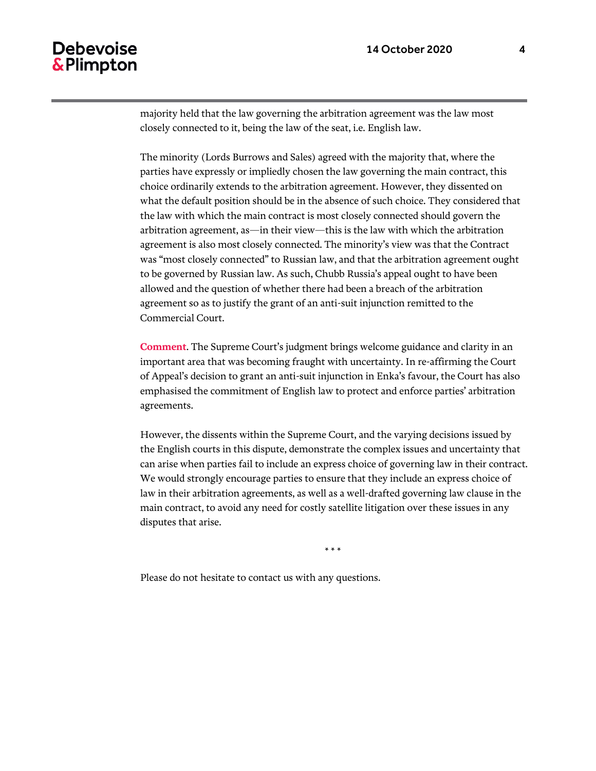### Debevoise & Plimpton

majority held that the law governing the arbitration agreement was the law most closely connected to it, being the law of the seat, i.e. English law.

The minority (Lords Burrows and Sales) agreed with the majority that, where the parties have expressly or impliedly chosen the law governing the main contract, this choice ordinarily extends to the arbitration agreement. However, they dissented on what the default position should be in the absence of such choice. They considered that the law with which the main contract is most closely connected should govern the arbitration agreement, as—in their view—this is the law with which the arbitration agreement is also most closely connected. The minority's view was that the Contract was "most closely connected" to Russian law, and that the arbitration agreement ought to be governed by Russian law. As such, Chubb Russia's appeal ought to have been allowed and the question of whether there had been a breach of the arbitration agreement so as to justify the grant of an anti-suit injunction remitted to the Commercial Court.

**Comment**. The Supreme Court's judgment brings welcome guidance and clarity in an important area that was becoming fraught with uncertainty. In re-affirming the Court of Appeal's decision to grant an anti-suit injunction in Enka's favour, the Court has also emphasised the commitment of English law to protect and enforce parties' arbitration agreements.

However, the dissents within the Supreme Court, and the varying decisions issued by the English courts in this dispute, demonstrate the complex issues and uncertainty that can arise when parties fail to include an express choice of governing law in their contract. We would strongly encourage parties to ensure that they include an express choice of law in their arbitration agreements, as well as a well-drafted governing law clause in the main contract, to avoid any need for costly satellite litigation over these issues in any disputes that arise.

\* \* \*

Please do not hesitate to contact us with any questions.